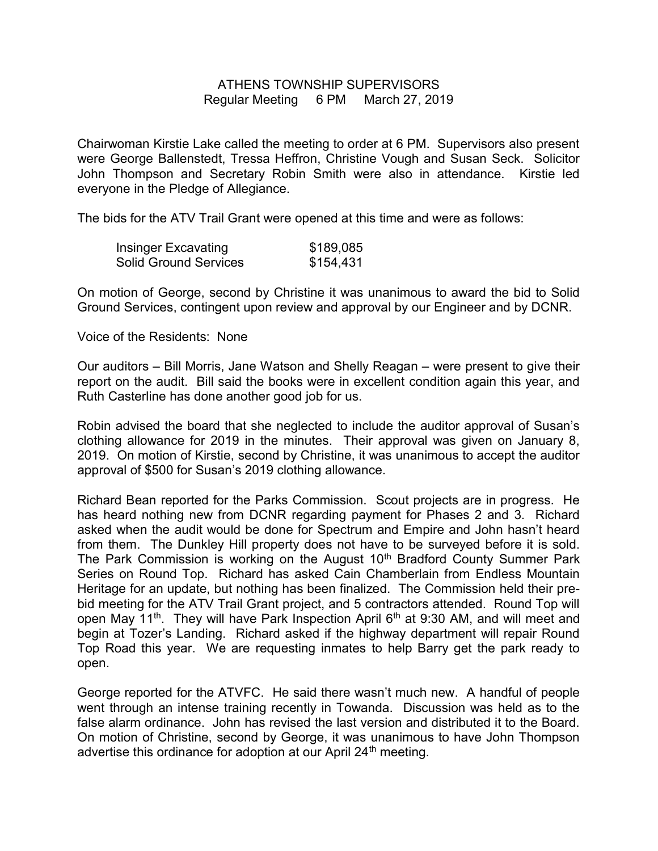## ATHENS TOWNSHIP SUPERVISORS Regular Meeting 6 PM March 27, 2019

Chairwoman Kirstie Lake called the meeting to order at 6 PM. Supervisors also present were George Ballenstedt, Tressa Heffron, Christine Vough and Susan Seck. Solicitor John Thompson and Secretary Robin Smith were also in attendance. Kirstie led everyone in the Pledge of Allegiance.

The bids for the ATV Trail Grant were opened at this time and were as follows:

| <b>Insinger Excavating</b>   | \$189,085 |
|------------------------------|-----------|
| <b>Solid Ground Services</b> | \$154,431 |

On motion of George, second by Christine it was unanimous to award the bid to Solid Ground Services, contingent upon review and approval by our Engineer and by DCNR.

Voice of the Residents: None

Our auditors – Bill Morris, Jane Watson and Shelly Reagan – were present to give their report on the audit. Bill said the books were in excellent condition again this year, and Ruth Casterline has done another good job for us.

Robin advised the board that she neglected to include the auditor approval of Susan's clothing allowance for 2019 in the minutes. Their approval was given on January 8, 2019. On motion of Kirstie, second by Christine, it was unanimous to accept the auditor approval of \$500 for Susan's 2019 clothing allowance.

Richard Bean reported for the Parks Commission. Scout projects are in progress. He has heard nothing new from DCNR regarding payment for Phases 2 and 3. Richard asked when the audit would be done for Spectrum and Empire and John hasn't heard from them. The Dunkley Hill property does not have to be surveyed before it is sold. The Park Commission is working on the August 10<sup>th</sup> Bradford County Summer Park Series on Round Top. Richard has asked Cain Chamberlain from Endless Mountain Heritage for an update, but nothing has been finalized. The Commission held their prebid meeting for the ATV Trail Grant project, and 5 contractors attended. Round Top will open May 11<sup>th</sup>. They will have Park Inspection April 6<sup>th</sup> at 9:30 AM, and will meet and begin at Tozer's Landing. Richard asked if the highway department will repair Round Top Road this year. We are requesting inmates to help Barry get the park ready to open.

George reported for the ATVFC. He said there wasn't much new. A handful of people went through an intense training recently in Towanda. Discussion was held as to the false alarm ordinance. John has revised the last version and distributed it to the Board. On motion of Christine, second by George, it was unanimous to have John Thompson advertise this ordinance for adoption at our April 24<sup>th</sup> meeting.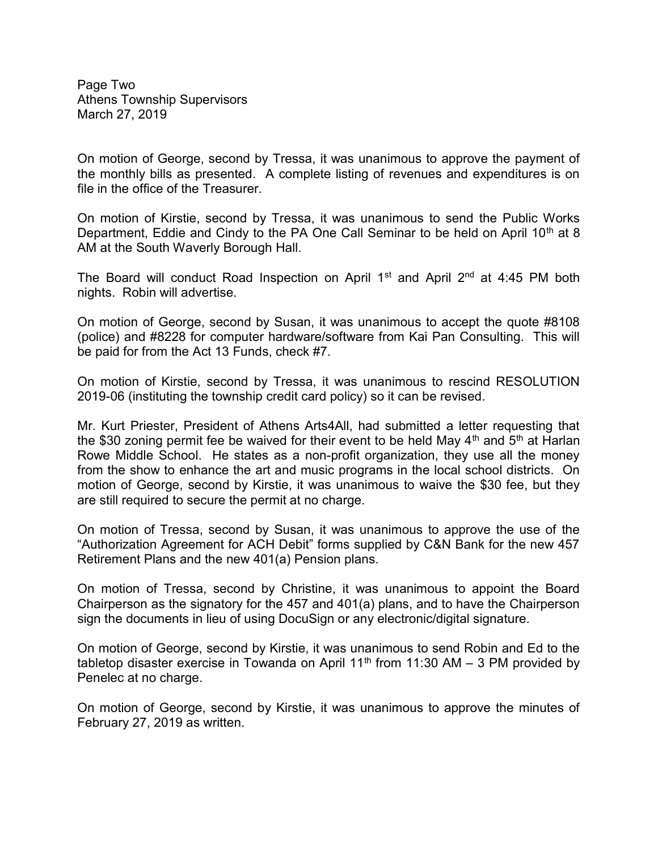Page Two Athens Township Supervisors March 27, 2019

On motion of George, second by Tressa, it was unanimous to approve the payment of the monthly bills as presented. A complete listing of revenues and expenditures is on file in the office of the Treasurer.

On motion of Kirstie, second by Tressa, it was unanimous to send the Public Works Department, Eddie and Cindy to the PA One Call Seminar to be held on April 10<sup>th</sup> at 8 AM at the South Waverly Borough Hall.

The Board will conduct Road Inspection on April  $1<sup>st</sup>$  and April  $2<sup>nd</sup>$  at 4:45 PM both nights. Robin will advertise.

On motion of George, second by Susan, it was unanimous to accept the quote #8108 (police) and #8228 for computer hardware/software from Kai Pan Consulting. This will be paid for from the Act 13 Funds, check #7.

On motion of Kirstie, second by Tressa, it was unanimous to rescind RESOLUTION 2019-06 (instituting the township credit card policy) so it can be revised.

Mr. Kurt Priester, President of Athens Arts4All, had submitted a letter requesting that the \$30 zoning permit fee be waived for their event to be held May  $4<sup>th</sup>$  and  $5<sup>th</sup>$  at Harlan Rowe Middle School. He states as a non-profit organization, they use all the money from the show to enhance the art and music programs in the local school districts. On motion of George, second by Kirstie, it was unanimous to waive the \$30 fee, but they are still required to secure the permit at no charge.

On motion of Tressa, second by Susan, it was unanimous to approve the use of the "Authorization Agreement for ACH Debit" forms supplied by C&N Bank for the new 457 Retirement Plans and the new 401(a) Pension plans.

On motion of Tressa, second by Christine, it was unanimous to appoint the Board Chairperson as the signatory for the 457 and 401(a) plans, and to have the Chairperson sign the documents in lieu of using DocuSign or any electronic/digital signature.

On motion of George, second by Kirstie, it was unanimous to send Robin and Ed to the tabletop disaster exercise in Towanda on April 11<sup>th</sup> from 11:30 AM – 3 PM provided by Penelec at no charge.

On motion of George, second by Kirstie, it was unanimous to approve the minutes of February 27, 2019 as written.